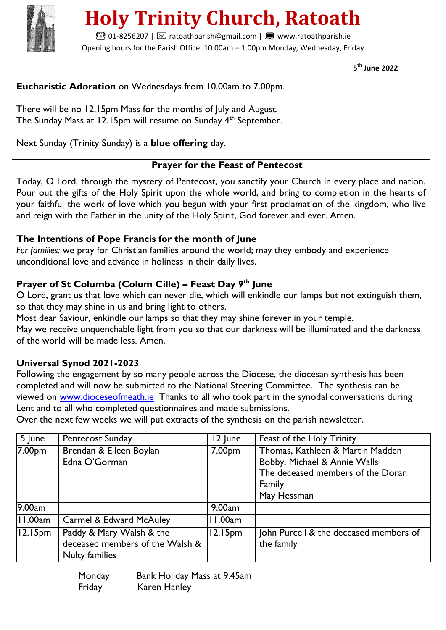

# **Holy Trinity Church, Ratoath**

**■01-8256207 | ⊠ ratoathparish@gmail.com | ■ www.ratoathparish.ie** Opening hours for the Parish Office: 10.00am – 1.00pm Monday, Wednesday, Friday

 **5 th June 2022**

## **Eucharistic Adoration** on Wednesdays from 10.00am to 7.00pm.

There will be no 12.15pm Mass for the months of July and August. The Sunday Mass at 12.15pm will resume on Sunday 4<sup>th</sup> September.

Next Sunday (Trinity Sunday) is a **blue offering** day.

#### **Prayer for the Feast of Pentecost**

Today, O Lord, through the mystery of Pentecost, you sanctify your Church in every place and nation. Pour out the gifts of the Holy Spirit upon the whole world, and bring to completion in the hearts of your faithful the work of love which you begun with your first proclamation of the kingdom, who live and reign with the Father in the unity of the Holy Spirit, God forever and ever. Amen.

### **The Intentions of Pope Francis for the month of June**

*For families:* we pray for Christian families around the world; may they embody and experience unconditional love and advance in holiness in their daily lives.

## **Prayer of St Columba (Colum Cille) – Feast Day 9th June**

O Lord, grant us that love which can never die, which will enkindle our lamps but not extinguish them, so that they may shine in us and bring light to others.

Most dear Saviour, enkindle our lamps so that they may shine forever in your temple.

May we receive unquenchable light from you so that our darkness will be illuminated and the darkness of the world will be made less. Amen.

### **Universal Synod 2021-2023**

Following the engagement by so many people across the Diocese, the diocesan synthesis has been completed and will now be submitted to the National Steering Committee. The synthesis can be viewed on [www.dioceseofmeath.ie](http://www.dioceseofmeath.ie/) Thanks to all who took part in the synodal conversations during Lent and to all who completed questionnaires and made submissions.

Over the next few weeks we will put extracts of the synthesis on the parish newsletter.

| 5 June              | <b>Pentecost Sunday</b>                                                              | 12 June             | Feast of the Holy Trinity                                                                                                      |
|---------------------|--------------------------------------------------------------------------------------|---------------------|--------------------------------------------------------------------------------------------------------------------------------|
| 7.00pm              | Brendan & Eileen Boylan<br>Edna O'Gorman                                             | 7.00 <sub>pm</sub>  | Thomas, Kathleen & Martin Madden<br>Bobby, Michael & Annie Walls<br>The deceased members of the Doran<br>Family<br>May Hessman |
| 9.00am              |                                                                                      | 9.00am              |                                                                                                                                |
| 11.00am             | <b>Carmel &amp; Edward McAuley</b>                                                   | 11.00am             |                                                                                                                                |
| 12.15 <sub>pm</sub> | Paddy & Mary Walsh & the<br>deceased members of the Walsh &<br><b>Nulty families</b> | 12.15 <sub>pm</sub> | John Purcell & the deceased members of<br>the family                                                                           |

 Monday Bank Holiday Mass at 9.45am Friday Karen Hanley